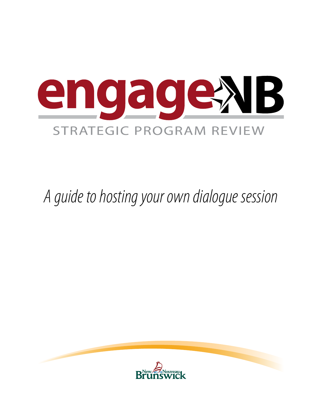

*A guide to hosting your own dialogue session*

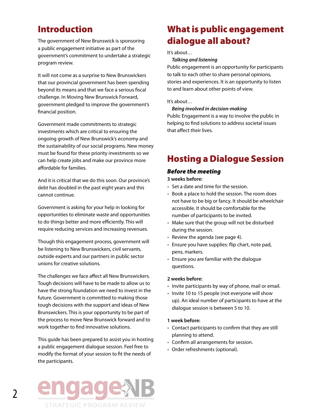## Introduction

The government of New Brunswick is sponsoring a public engagement initiative as part of the government's commitment to undertake a strategic program review.

It will not come as a surprise to New Brunswickers that our provincial government has been spending beyond its means and that we face a serious fiscal challenge. In Moving New Brunswick Forward, government pledged to improve the government's financial position.

Government made commitments to strategic investments which are critical to ensuring the ongoing growth of New Brunswick's economy and the sustainability of our social programs. New money must be found for these priority investments so we can help create jobs and make our province more affordable for families.

And it is critical that we do this soon. Our province's debt has doubled in the past eight years and this cannot continue.

Government is asking for your help in looking for opportunities to eliminate waste and opportunities to do things better and more efficiently. This will require reducing services and increasing revenues.

Though this engagement process, government will be listening to New Brunswickers, civil servants, outside experts and our partners in public sector unions for creative solutions.

The challenges we face affect all New Brunswickers. Tough decisions will have to be made to allow us to have the strong foundation we need to invest in the future. Government is committed to making those tough decisions with the support and ideas of New Brunswickers. This is your opportunity to be part of the process to move New Brunswick forward and to work together to find innovative solutions.

This guide has been prepared to assist you in hosting a public engagement dialogue session. Feel free to modify the format of your session to fit the needs of the participants.

# What is public engagement dialogue all about?

#### It's about…

*Talking and listening*

Public engagement is an opportunity for participants to talk to each other to share personal opinions, stories and experiences. It is an opportunity to listen to and learn about other points of view.

### It's about…

#### *Being involved in decision-making*

Public Engagement is a way to involve the public in helping to find solutions to address societal issues that affect their lives.

## Hosting a Dialogue Session

## *Before the meeting*

**3 weeks before:**

- Set a date and time for the session.
- Book a place to hold the session. The room does not have to be big or fancy. It should be wheelchair accessible. It should be comfortable for the number of participants to be invited.
- Make sure that the group will not be disturbed during the session.
- Review the agenda (see page 4).
- Ensure you have supplies: flip chart, note pad, pens, markers.
- Ensure you are familiar with the dialogue questions.

### **2 weeks before:**

- Invite participants by way of phone, mail or email.
- Invite 10 to 15 people (not everyone will show up). An ideal number of participants to have at the dialogue session is between 5 to 10.

### **1 week before:**

- Contact participants to confirm that they are still planning to attend.
- • Confirm all arrangements for session.
- Order refreshments (optional).

## **STRATEGIC PROGRAM REVIEW**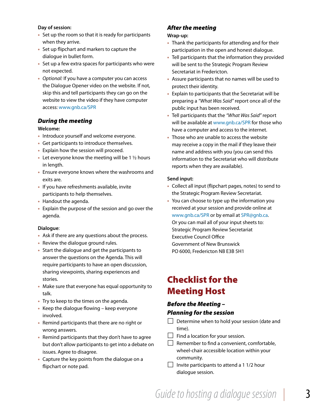### **Day of session:**

- Set up the room so that it is ready for participants when they arrive.
- • Set up flipchart and markers to capture the dialogue in bullet form.
- Set up a few extra spaces for participants who were not expected.
- • *Optional:* If you have a computer you can access the Dialogue Opener video on the website. If not, skip this and tell participants they can go on the website to view the video if they have computer access: www.gnb.ca/SPR

## *During the meeting*

### **Welcome:**

- Introduce yourself and welcome everyone.
- Get participants to introduce themselves.
- Explain how the session will proceed.
- Let everyone know the meeting will be 1  $\frac{1}{2}$  hours in length.
- Ensure everyone knows where the washrooms and exits are.
- If you have refreshments available, invite participants to help themselves.
- Handout the agenda.
- Explain the purpose of the session and go over the agenda.

#### **Dialogue**:

- Ask if there are any questions about the process.
- Review the dialogue ground rules.
- Start the dialogue and get the participants to answer the questions on the Agenda. This will require participants to have an open discussion, sharing viewpoints, sharing experiences and stories.
- Make sure that everyone has equal opportunity to talk.
- Try to keep to the times on the agenda.
- $\bullet$  Keep the dialogue flowing keep everyone involved.
- Remind participants that there are no right or wrong answers.
- Remind participants that they don't have to agree but don't allow participants to get into a debate on issues. Agree to disagree.
- Capture the key points from the dialogue on a flipchart or note pad.

## *After the meeting*

### **Wrap-up:**

- Thank the participants for attending and for their participation in the open and honest dialogue.
- Tell participants that the information they provided will be sent to the Strategic Program Review Secretariat in Fredericton.
- Assure participants that no names will be used to protect their identity.
- Explain to participants that the Secretariat will be preparing a *"What Was Said"* report once all of the public input has been received.
- • Tell participants that the *"What Was Said"* report will be available at www.gnb.ca/SPR for those who have a computer and access to the internet.
- Those who are unable to access the website may receive a copy in the mail if they leave their name and address with you (you can send this information to the Secretariat who will distribute reports when they are available).

### **Send input:**

- Collect all input (flipchart pages, notes) to send to the Strategic Program Review Secretariat.
- You can choose to type up the information you received at your session and provide online at www.gnb.ca/SPR or by email at SPR@gnb.ca. Or you can mail all of your input sheets to: Strategic Program Review Secretariat Executive Council Office Government of New Brunswick PO 6000, Fredericton NB E3B 5H1

# Checklist for the Meeting Host

## *Before the Meeting – Planning for the session*

- $\Box$  Determine when to hold your session (date and time).
- $\Box$  Find a location for your session.
- $\Box$  Remember to find a convenient, comfortable, wheel-chair accessible location within your community.
- $\Box$  Invite participants to attend a 1 1/2 hour dialogue session.